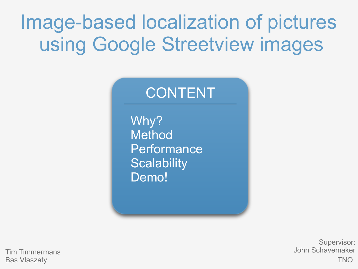## Image-based localization of pictures using Google Streetview images

#### CONTENT

Why? Method Performance **Scalability** Demo!

> Supervisor: John Schavemaker TNO

Tim Timmermans Bas Vlaszaty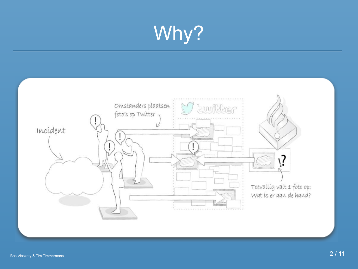# Why?

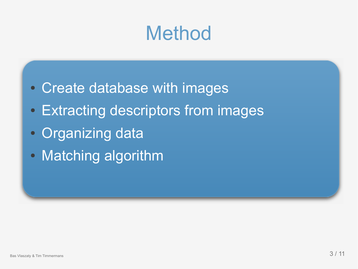## **Method**

- Create database with images
- Extracting descriptors from images
- Organizing data
- Matching algorithm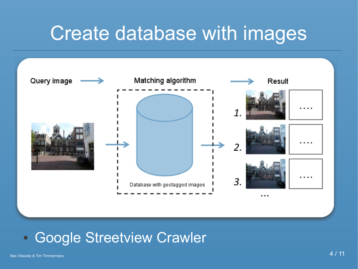## Create database with images



#### • Google Streetview Crawler

Bas Vlaszaty & Tim Timmermans  $\hphantom{a}4$  /  $\hphantom{a}11$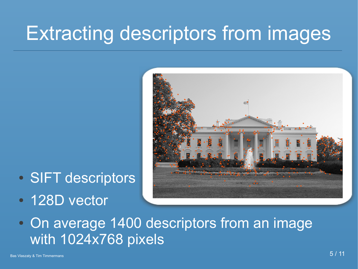## Extracting descriptors from images

- SIFT descriptors
- 128D vector



• On average 1400 descriptors from an image with 1024x768 pixels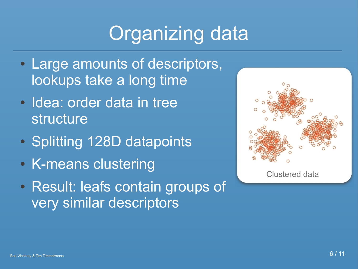## **Organizing data**

- Large amounts of descriptors, lookups take a long time
- Idea: order data in tree structure
- Splitting 128D datapoints
- K-means clustering
- Result: leafs contain groups of very similar descriptors



Clustered data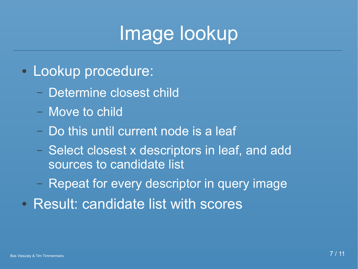## Image lookup

- · Lookup procedure:
	- Determine closest child
	- Move to child
	- Do this until current node is a leaf
	- Select closest x descriptors in leaf, and add sources to candidate list
	- Repeat for every descriptor in query image
- Result: candidate list with scores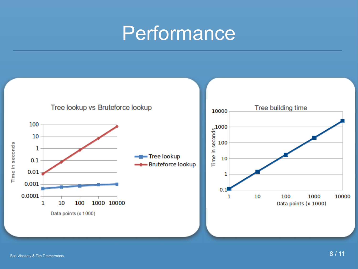#### Performance

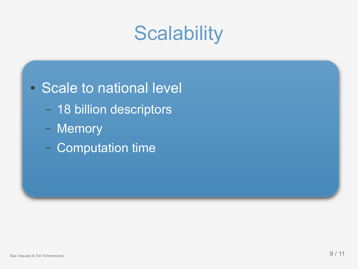## **Scalability**

- Scale to national level
	- 18 billion descriptors
	- Memory
	- Computation time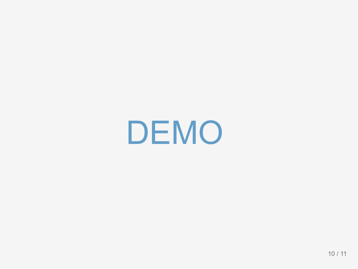DEMO